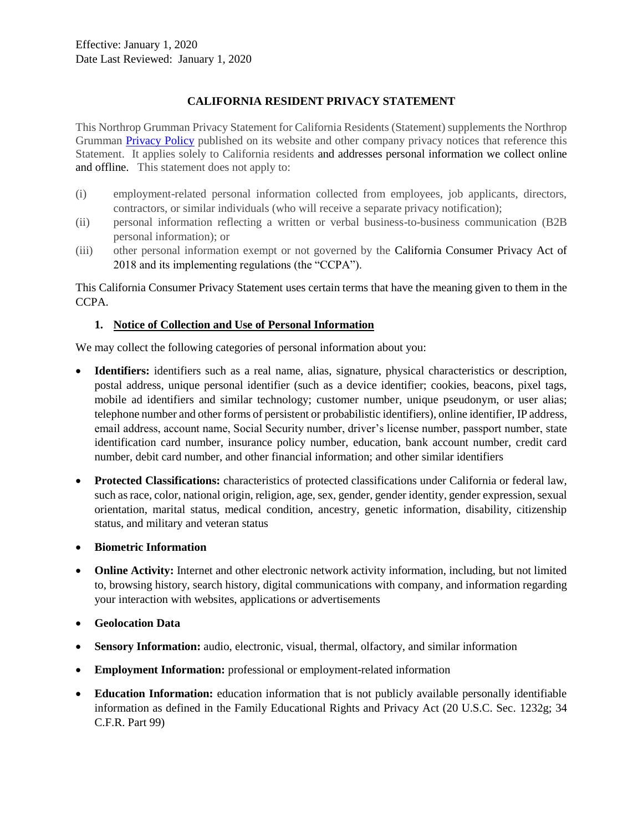### **CALIFORNIA RESIDENT PRIVACY STATEMENT**

This Northrop Grumman Privacy Statement for California Residents (Statement) supplements the Northrop Grumman [Privacy Policy](https://www.northropgrumman.com/who-we-are/privacy-policy/) published on its website and other company privacy notices that reference this Statement. It applies solely to California residents and addresses personal information we collect online and offline. This statement does not apply to:

- (i) employment-related personal information collected from employees, job applicants, directors, contractors, or similar individuals (who will receive a separate privacy notification);
- (ii) personal information reflecting a written or verbal business-to-business communication (B2B personal information); or
- (iii) other personal information exempt or not governed by the California Consumer Privacy Act of 2018 and its implementing regulations (the "CCPA").

This California Consumer Privacy Statement uses certain terms that have the meaning given to them in the CCPA.

#### **1. Notice of Collection and Use of Personal Information**

We may collect the following categories of personal information about you:

- **Identifiers:** identifiers such as a real name, alias, signature, physical characteristics or description, postal address, unique personal identifier (such as a device identifier; cookies, beacons, pixel tags, mobile ad identifiers and similar technology; customer number, unique pseudonym, or user alias; telephone number and other forms of persistent or probabilistic identifiers), online identifier, IP address, email address, account name, Social Security number, driver's license number, passport number, state identification card number, insurance policy number, education, bank account number, credit card number, debit card number, and other financial information; and other similar identifiers
- **Protected Classifications:** characteristics of protected classifications under California or federal law, such as race, color, national origin, religion, age, sex, gender, gender identity, gender expression, sexual orientation, marital status, medical condition, ancestry, genetic information, disability, citizenship status, and military and veteran status
- **Biometric Information**
- **Online Activity:** Internet and other electronic network activity information, including, but not limited to, browsing history, search history, digital communications with company, and information regarding your interaction with websites, applications or advertisements
- **Geolocation Data**
- **Sensory Information:** audio, electronic, visual, thermal, olfactory, and similar information
- **Employment Information:** professional or employment-related information
- **Education Information:** education information that is not publicly available personally identifiable information as defined in the Family Educational Rights and Privacy Act (20 U.S.C. Sec. 1232g; 34 C.F.R. Part 99)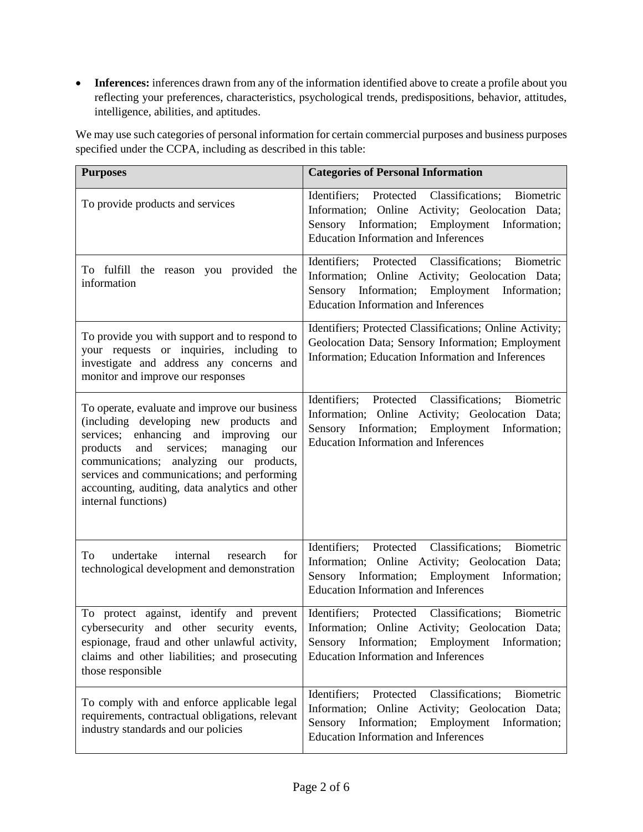• Inferences: inferences drawn from any of the information identified above to create a profile about you reflecting your preferences, characteristics, psychological trends, predispositions, behavior, attitudes, intelligence, abilities, and aptitudes.

We may use such categories of personal information for certain commercial purposes and business purposes specified under the CCPA, including as described in this table:

| <b>Purposes</b>                                                                                                                                                                                                                                                                                                                                                 | <b>Categories of Personal Information</b>                                                                                                                                                                          |
|-----------------------------------------------------------------------------------------------------------------------------------------------------------------------------------------------------------------------------------------------------------------------------------------------------------------------------------------------------------------|--------------------------------------------------------------------------------------------------------------------------------------------------------------------------------------------------------------------|
| To provide products and services                                                                                                                                                                                                                                                                                                                                | Identifiers; Protected Classifications;<br>Biometric<br>Information; Online Activity; Geolocation Data;<br>Sensory Information; Employment Information;<br><b>Education Information and Inferences</b>             |
| To fulfill the reason you provided the<br>information                                                                                                                                                                                                                                                                                                           | Identifiers; Protected Classifications;<br>Biometric<br>Information; Online Activity; Geolocation Data;<br>Sensory Information; Employment Information;<br><b>Education Information and Inferences</b>             |
| To provide you with support and to respond to<br>your requests or inquiries, including to<br>investigate and address any concerns and<br>monitor and improve our responses                                                                                                                                                                                      | Identifiers; Protected Classifications; Online Activity;<br>Geolocation Data; Sensory Information; Employment<br>Information; Education Information and Inferences                                                 |
| To operate, evaluate and improve our business<br>(including developing new products<br>and<br>services; enhancing and<br>improving<br>our<br>services;<br>products<br>and<br>managing<br>our<br>communications; analyzing our products,<br>services and communications; and performing<br>accounting, auditing, data analytics and other<br>internal functions) | Identifiers; Protected Classifications;<br>Biometric<br>Information; Online Activity; Geolocation Data;<br>Sensory Information; Employment Information;<br><b>Education Information and Inferences</b>             |
| undertake<br>internal<br>To<br>research<br>for<br>technological development and demonstration                                                                                                                                                                                                                                                                   | Identifiers; Protected<br>Classifications;<br>Biometric<br>Information; Online Activity; Geolocation Data;<br>Sensory Information; Employment Information;<br><b>Education Information and Inferences</b>          |
| To protect against, identify and prevent<br>cybersecurity and other security<br>events,<br>espionage, fraud and other unlawful activity,<br>claims and other liabilities; and prosecuting<br>those responsible                                                                                                                                                  | Identifiers; Protected Classifications; Biometric<br>Information; Online Activity; Geolocation Data;<br>Sensory Information; Employment<br>Information;<br><b>Education Information and Inferences</b>             |
| To comply with and enforce applicable legal<br>requirements, contractual obligations, relevant<br>industry standards and our policies                                                                                                                                                                                                                           | Classifications;<br>Identifiers;<br>Protected<br>Biometric<br>Information; Online Activity; Geolocation Data;<br>Employment<br>Sensory Information;<br>Information;<br><b>Education Information and Inferences</b> |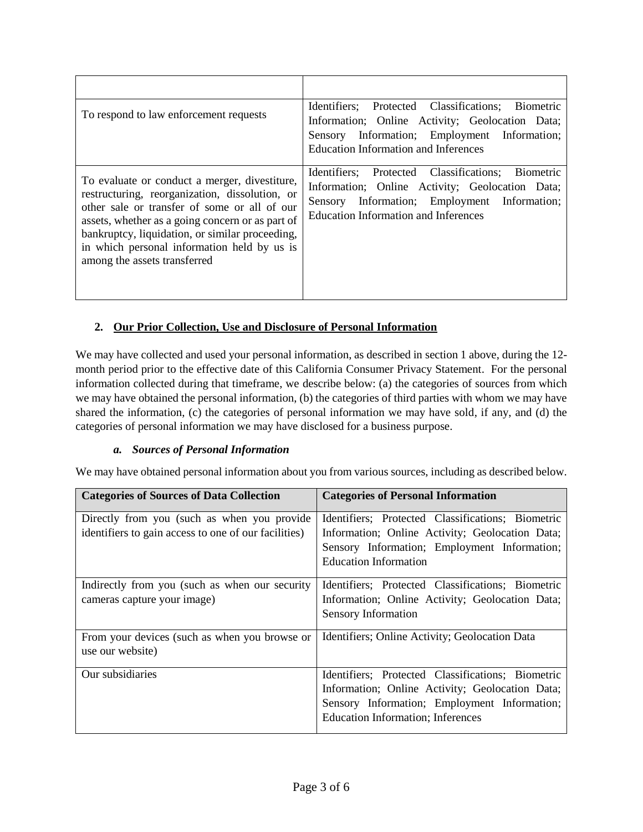| To respond to law enforcement requests                                                                                                                                                                                                                                                                                                | Identifiers; Protected Classifications; Biometric<br>Information; Online Activity; Geolocation Data;<br>Sensory Information; Employment Information;<br><b>Education Information and Inferences</b>    |
|---------------------------------------------------------------------------------------------------------------------------------------------------------------------------------------------------------------------------------------------------------------------------------------------------------------------------------------|--------------------------------------------------------------------------------------------------------------------------------------------------------------------------------------------------------|
| To evaluate or conduct a merger, divestiture,<br>restructuring, reorganization, dissolution, or<br>other sale or transfer of some or all of our<br>assets, whether as a going concern or as part of<br>bankruptcy, liquidation, or similar proceeding,<br>in which personal information held by us is<br>among the assets transferred | Biometric<br>Identifiers; Protected Classifications;<br>Information; Online Activity; Geolocation Data;<br>Sensory Information; Employment Information;<br><b>Education Information and Inferences</b> |

## **2. Our Prior Collection, Use and Disclosure of Personal Information**

We may have collected and used your personal information, as described in section 1 above, during the 12month period prior to the effective date of this California Consumer Privacy Statement. For the personal information collected during that timeframe, we describe below: (a) the categories of sources from which we may have obtained the personal information, (b) the categories of third parties with whom we may have shared the information, (c) the categories of personal information we may have sold, if any, and (d) the categories of personal information we may have disclosed for a business purpose.

### *a. Sources of Personal Information*

We may have obtained personal information about you from various sources, including as described below.

| <b>Categories of Sources of Data Collection</b>                               | <b>Categories of Personal Information</b>                                                                                                                                                         |
|-------------------------------------------------------------------------------|---------------------------------------------------------------------------------------------------------------------------------------------------------------------------------------------------|
| Directly from you (such as when you provide                                   | Identifiers; Protected Classifications; Biometric                                                                                                                                                 |
| identifiers to gain access to one of our facilities)                          | Information; Online Activity; Geolocation Data;<br>Sensory Information; Employment Information;<br><b>Education Information</b>                                                                   |
| Indirectly from you (such as when our security<br>cameras capture your image) | Identifiers; Protected Classifications; Biometric<br>Information; Online Activity; Geolocation Data;<br>Sensory Information                                                                       |
| From your devices (such as when you browse or<br>use our website)             | Identifiers; Online Activity; Geolocation Data                                                                                                                                                    |
| Our subsidiaries                                                              | Identifiers; Protected Classifications; Biometric<br>Information; Online Activity; Geolocation Data;<br>Sensory Information; Employment Information;<br><b>Education Information</b> ; Inferences |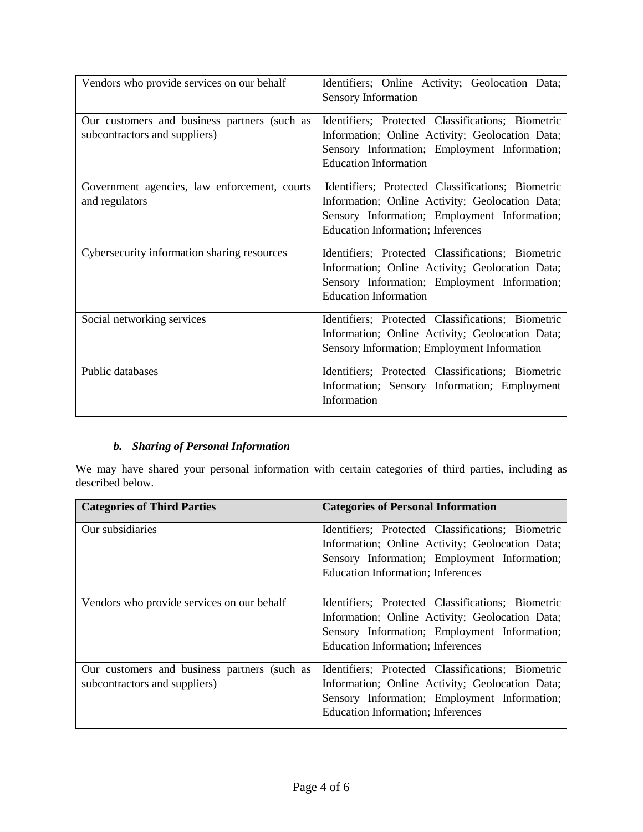| Vendors who provide services on our behalf                                    | Identifiers; Online Activity; Geolocation Data;<br>Sensory Information                                                                                                                           |
|-------------------------------------------------------------------------------|--------------------------------------------------------------------------------------------------------------------------------------------------------------------------------------------------|
| Our customers and business partners (such as<br>subcontractors and suppliers) | Identifiers; Protected Classifications; Biometric<br>Information; Online Activity; Geolocation Data;<br>Sensory Information; Employment Information;<br><b>Education Information</b>             |
| Government agencies, law enforcement, courts<br>and regulators                | Identifiers; Protected Classifications; Biometric<br>Information; Online Activity; Geolocation Data;<br>Sensory Information; Employment Information;<br><b>Education Information; Inferences</b> |
| Cybersecurity information sharing resources                                   | Identifiers; Protected Classifications; Biometric<br>Information; Online Activity; Geolocation Data;<br>Sensory Information; Employment Information;<br><b>Education Information</b>             |
| Social networking services                                                    | Identifiers; Protected Classifications; Biometric<br>Information; Online Activity; Geolocation Data;<br>Sensory Information; Employment Information                                              |
| Public databases                                                              | Identifiers; Protected Classifications; Biometric<br>Information; Sensory Information; Employment<br>Information                                                                                 |

# *b. Sharing of Personal Information*

We may have shared your personal information with certain categories of third parties, including as described below.

| <b>Categories of Third Parties</b>           | <b>Categories of Personal Information</b>                                                       |
|----------------------------------------------|-------------------------------------------------------------------------------------------------|
| Our subsidiaries                             | Identifiers; Protected Classifications; Biometric                                               |
|                                              | Information; Online Activity; Geolocation Data;<br>Sensory Information; Employment Information; |
|                                              | <b>Education Information</b> ; Inferences                                                       |
| Vendors who provide services on our behalf   | Identifiers; Protected Classifications; Biometric                                               |
|                                              | Information; Online Activity; Geolocation Data;                                                 |
|                                              | Sensory Information; Employment Information;                                                    |
|                                              | <b>Education Information</b> ; Inferences                                                       |
| Our customers and business partners (such as | Identifiers; Protected Classifications; Biometric                                               |
| subcontractors and suppliers)                | Information; Online Activity; Geolocation Data;                                                 |
|                                              | Sensory Information; Employment Information;                                                    |
|                                              | <b>Education Information; Inferences</b>                                                        |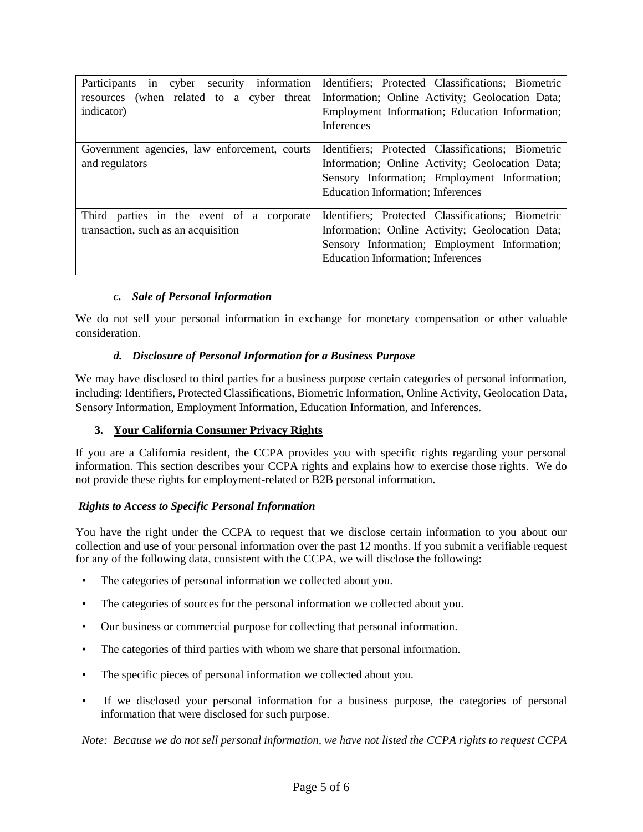| Participants in cyber<br>security information<br>resources (when related to a cyber threat<br>indicator) | Identifiers; Protected Classifications; Biometric<br>Information; Online Activity; Geolocation Data;<br>Employment Information; Education Information;<br><b>Inferences</b>                       |
|----------------------------------------------------------------------------------------------------------|---------------------------------------------------------------------------------------------------------------------------------------------------------------------------------------------------|
| Government agencies, law enforcement, courts<br>and regulators                                           | Identifiers; Protected Classifications; Biometric<br>Information; Online Activity; Geolocation Data;<br>Sensory Information; Employment Information;<br><b>Education Information; Inferences</b>  |
| Third parties in the event of a corporate<br>transaction, such as an acquisition                         | Identifiers; Protected Classifications; Biometric<br>Information; Online Activity; Geolocation Data;<br>Sensory Information; Employment Information;<br><b>Education Information</b> ; Inferences |

### *c. Sale of Personal Information*

We do not sell your personal information in exchange for monetary compensation or other valuable consideration.

### *d. Disclosure of Personal Information for a Business Purpose*

We may have disclosed to third parties for a business purpose certain categories of personal information, including: Identifiers, Protected Classifications, Biometric Information, Online Activity, Geolocation Data, Sensory Information, Employment Information, Education Information, and Inferences.

## **3. Your California Consumer Privacy Rights**

If you are a California resident, the CCPA provides you with specific rights regarding your personal information. This section describes your CCPA rights and explains how to exercise those rights. We do not provide these rights for employment-related or B2B personal information.

### *Rights to Access to Specific Personal Information*

You have the right under the CCPA to request that we disclose certain information to you about our collection and use of your personal information over the past 12 months. If you submit a verifiable request for any of the following data, consistent with the CCPA, we will disclose the following:

- The categories of personal information we collected about you.
- The categories of sources for the personal information we collected about you.
- Our business or commercial purpose for collecting that personal information.
- The categories of third parties with whom we share that personal information.
- The specific pieces of personal information we collected about you.
- If we disclosed your personal information for a business purpose, the categories of personal information that were disclosed for such purpose.

*Note: Because we do not sell personal information, we have not listed the CCPA rights to request CCPA*